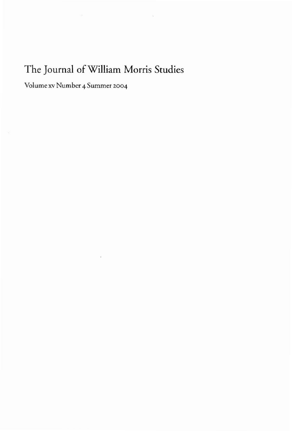## **The Journal ofWilliam Morris Studies**

 $\geq$ 

Volume xv Number 4 Summer 2004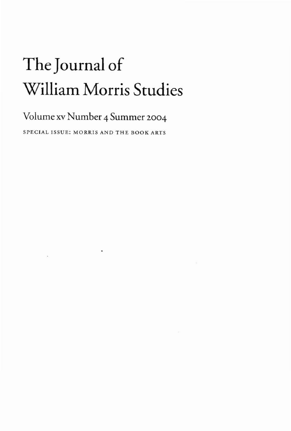## **The Journal of William Morris Studies**

## **Volume xv Number 4 Summer** 2004

SPECIAL ISSUE: MORRIS AND THE BOOK ARTS

 $\bullet$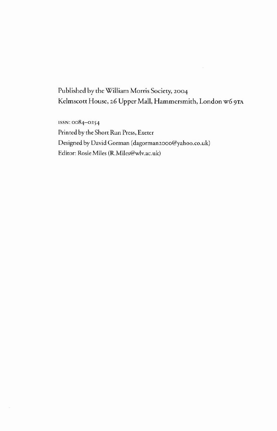Published by the William Morris Society, 2004 Kelmscott House, 26 Upper Mall, Hammersmith, London w6 9TA

ISSN: 0084-0254 Printed by the Short Run Press, Exeter Designed by David Gorman (dagorman2000@yahoo.co.uk) Editor: Rosie Miles (R.Miles@wlv.ac.uk)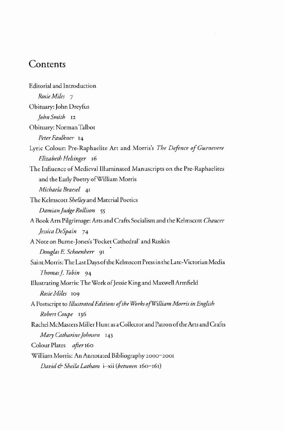## **Contents**

| <b>Editorial and Introduction</b>                                              |
|--------------------------------------------------------------------------------|
| Rosie Miles 7                                                                  |
| Obituary: John Dreyfus                                                         |
| John Smith 12                                                                  |
| Obituary: Norman Talbot                                                        |
| Peter Faulkner 14                                                              |
| Lyric Colour: Pre-Raphaelite Art and Morris's The Defence of Guenevere         |
| Elizabeth Helsinger 16                                                         |
| The Influence of Medieval Illuminated Manuscripts on the Pre-Raphaelites       |
| and the Early Poetry of William Morris                                         |
| Michaela Braesel 41                                                            |
| The Kelmscott Shelley and Material Poetics                                     |
| Damian Judge Rollison 55                                                       |
| A Book Arts Pilgrimage: Arts and Crafts Socialism and the Kelmscott Chaucer    |
| Jessica DeSpain 74                                                             |
| A Note on Burne-Jones's 'Pocket Cathedral' and Ruskin                          |
| Douglas E. Schoenherr 91                                                       |
| Saint Morris: The Last Days of the Kelmscott Press in the Late-Victorian Media |
| Thomas J. Tobin 94                                                             |
| Illustrating Morris: The Work of Jessie King and Maxwell Armfield              |
| Rosie Miles 109                                                                |
| A Postscript to Illustrated Editions of the Works of William Morris in English |
| Robert Coupe 136                                                               |
| Rachel McMasters Miller Hunt as a Collector and Patron of the Arts and Crafts  |
| Mary Catharine Johnsen 143                                                     |
| Colour Plates after 160                                                        |
| William Morris: An Annotated Bibliography 2000–2001                            |
| David & Sheila Latham i-xii (between 160-161)                                  |